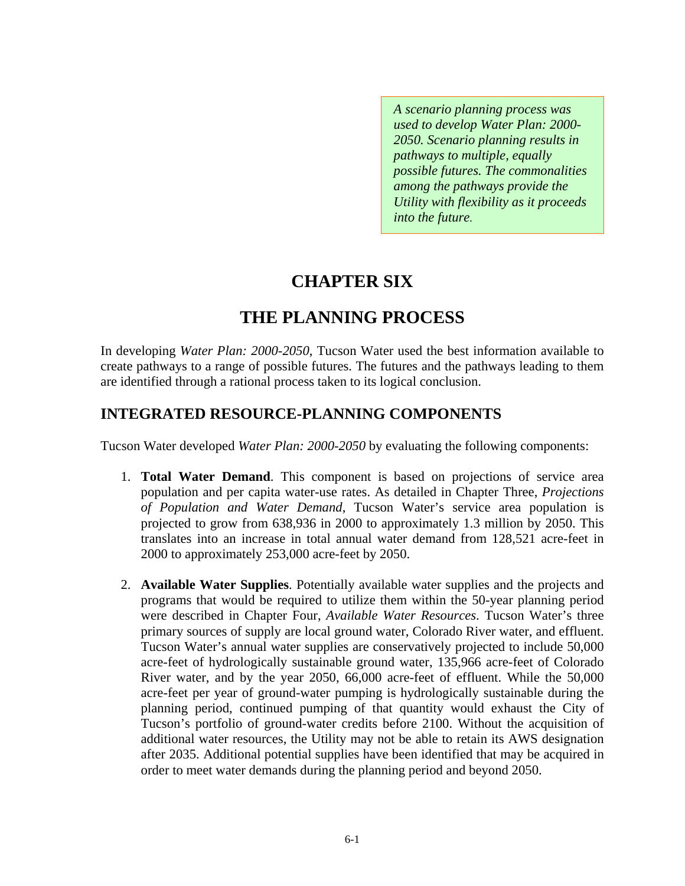*A scenario planning process was used to develop Water Plan: 2000- 2050. Scenario planning results in pathways to multiple, equally possible futures. The commonalities among the pathways provide the Utility with flexibility as it proceeds into the future.* 

# **CHAPTER SIX**

# **THE PLANNING PROCESS**

In developing *Water Plan: 2000-2050*, Tucson Water used the best information available to create pathways to a range of possible futures. The futures and the pathways leading to them are identified through a rational process taken to its logical conclusion.

### **INTEGRATED RESOURCE-PLANNING COMPONENTS**

Tucson Water developed *Water Plan: 2000-2050* by evaluating the following components:

- 1. **Total Water Demand**. This component is based on projections of service area population and per capita water-use rates. As detailed in Chapter Three, *Projections of Population and Water Demand*, Tucson Water's service area population is projected to grow from 638,936 in 2000 to approximately 1.3 million by 2050. This translates into an increase in total annual water demand from 128,521 acre-feet in 2000 to approximately 253,000 acre-feet by 2050.
- 2. **Available Water Supplies**. Potentially available water supplies and the projects and programs that would be required to utilize them within the 50-year planning period were described in Chapter Four, *Available Water Resources*. Tucson Water's three primary sources of supply are local ground water, Colorado River water, and effluent. Tucson Water's annual water supplies are conservatively projected to include 50,000 acre-feet of hydrologically sustainable ground water, 135,966 acre-feet of Colorado River water, and by the year 2050, 66,000 acre-feet of effluent. While the 50,000 acre-feet per year of ground-water pumping is hydrologically sustainable during the planning period, continued pumping of that quantity would exhaust the City of Tucson's portfolio of ground-water credits before 2100. Without the acquisition of additional water resources, the Utility may not be able to retain its AWS designation after 2035. Additional potential supplies have been identified that may be acquired in order to meet water demands during the planning period and beyond 2050.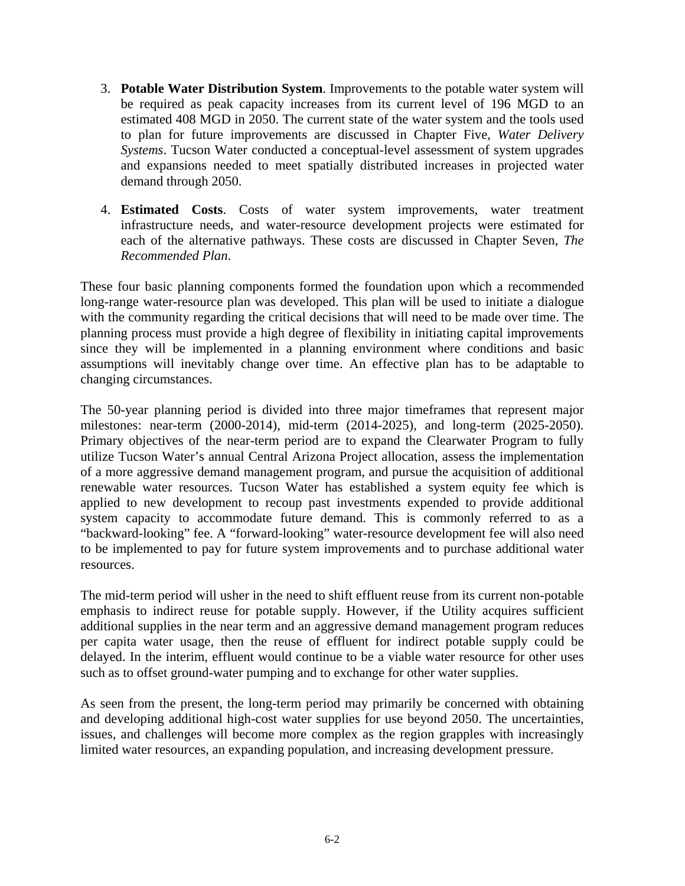- 3. **Potable Water Distribution System**. Improvements to the potable water system will be required as peak capacity increases from its current level of 196 MGD to an estimated 408 MGD in 2050. The current state of the water system and the tools used to plan for future improvements are discussed in Chapter Five, *Water Delivery Systems*. Tucson Water conducted a conceptual-level assessment of system upgrades and expansions needed to meet spatially distributed increases in projected water demand through 2050.
- 4. **Estimated Costs**. Costs of water system improvements, water treatment infrastructure needs, and water-resource development projects were estimated for each of the alternative pathways. These costs are discussed in Chapter Seven, *The Recommended Plan*.

These four basic planning components formed the foundation upon which a recommended long-range water-resource plan was developed. This plan will be used to initiate a dialogue with the community regarding the critical decisions that will need to be made over time. The planning process must provide a high degree of flexibility in initiating capital improvements since they will be implemented in a planning environment where conditions and basic assumptions will inevitably change over time. An effective plan has to be adaptable to changing circumstances.

The 50-year planning period is divided into three major timeframes that represent major milestones: near-term (2000-2014), mid-term (2014-2025), and long-term (2025-2050). Primary objectives of the near-term period are to expand the Clearwater Program to fully utilize Tucson Water's annual Central Arizona Project allocation, assess the implementation of a more aggressive demand management program, and pursue the acquisition of additional renewable water resources. Tucson Water has established a system equity fee which is applied to new development to recoup past investments expended to provide additional system capacity to accommodate future demand. This is commonly referred to as a "backward-looking" fee. A "forward-looking" water-resource development fee will also need to be implemented to pay for future system improvements and to purchase additional water resources.

The mid-term period will usher in the need to shift effluent reuse from its current non-potable emphasis to indirect reuse for potable supply. However, if the Utility acquires sufficient additional supplies in the near term and an aggressive demand management program reduces per capita water usage, then the reuse of effluent for indirect potable supply could be delayed. In the interim, effluent would continue to be a viable water resource for other uses such as to offset ground-water pumping and to exchange for other water supplies.

As seen from the present, the long-term period may primarily be concerned with obtaining and developing additional high-cost water supplies for use beyond 2050. The uncertainties, issues, and challenges will become more complex as the region grapples with increasingly limited water resources, an expanding population, and increasing development pressure.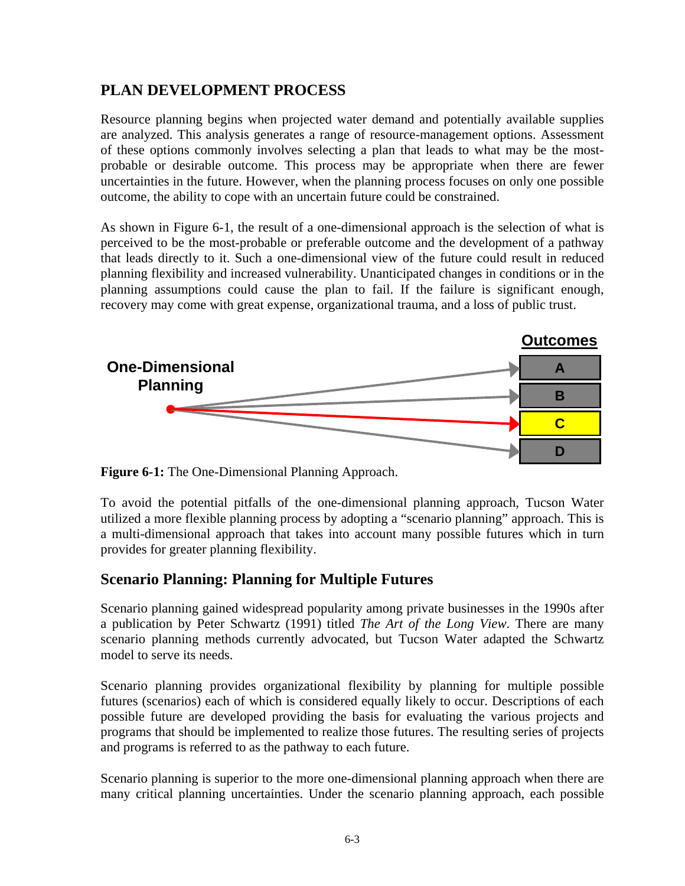### **PLAN DEVELOPMENT PROCESS**

Resource planning begins when projected water demand and potentially available supplies are analyzed. This analysis generates a range of resource-management options. Assessment of these options commonly involves selecting a plan that leads to what may be the mostprobable or desirable outcome. This process may be appropriate when there are fewer uncertainties in the future. However, when the planning process focuses on only one possible outcome, the ability to cope with an uncertain future could be constrained.

As shown in Figure 6-1, the result of a one-dimensional approach is the selection of what is perceived to be the most-probable or preferable outcome and the development of a pathway that leads directly to it. Such a one-dimensional view of the future could result in reduced planning flexibility and increased vulnerability. Unanticipated changes in conditions or in the planning assumptions could cause the plan to fail. If the failure is significant enough, recovery may come with great expense, organizational trauma, and a loss of public trust.



**Figure 6-1:** The One-Dimensional Planning Approach.

To avoid the potential pitfalls of the one-dimensional planning approach, Tucson Water utilized a more flexible planning process by adopting a "scenario planning" approach. This is a multi-dimensional approach that takes into account many possible futures which in turn provides for greater planning flexibility.

### **Scenario Planning: Planning for Multiple Futures**

Scenario planning gained widespread popularity among private businesses in the 1990s after a publication by Peter Schwartz (1991) titled *The Art of the Long View*. There are many scenario planning methods currently advocated, but Tucson Water adapted the Schwartz model to serve its needs.

Scenario planning provides organizational flexibility by planning for multiple possible futures (scenarios) each of which is considered equally likely to occur. Descriptions of each possible future are developed providing the basis for evaluating the various projects and programs that should be implemented to realize those futures. The resulting series of projects and programs is referred to as the pathway to each future.

Scenario planning is superior to the more one-dimensional planning approach when there are many critical planning uncertainties. Under the scenario planning approach, each possible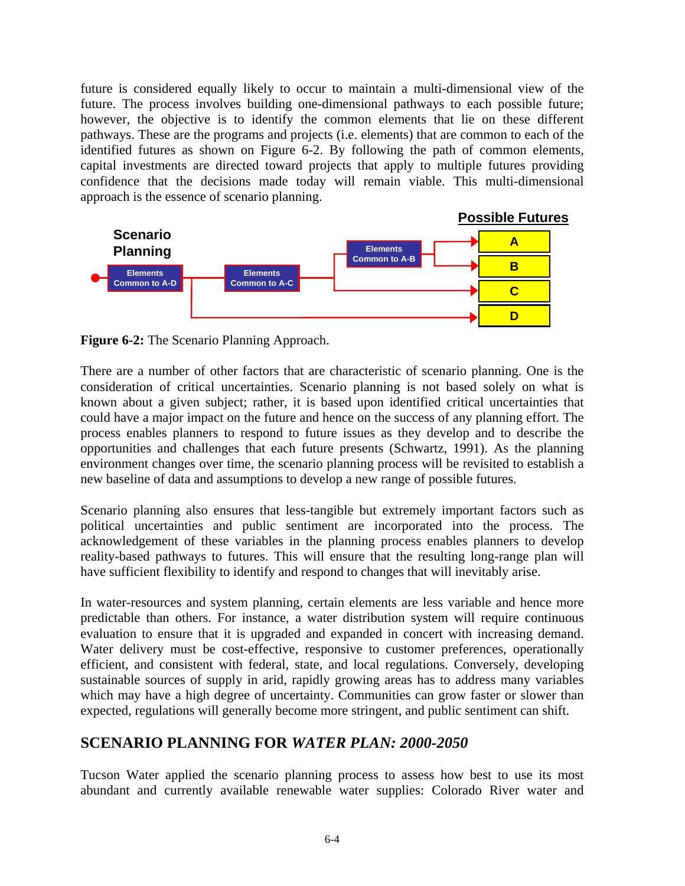future is considered equally likely to occur to maintain a multi-dimensional view of the future. The process involves building one-dimensional pathways to each possible future; however, the objective is to identify the common elements that lie on these different pathways. These are the programs and projects (i.e. elements) that are common to each of the identified futures as shown on Figure 6-2. By following the path of common elements, capital investments are directed toward projects that apply to multiple futures providing confidence that the decisions made today will remain viable. This multi-dimensional approach is the essence of scenario planning.



**Figure 6-2:** The Scenario Planning Approach.

There are a number of other factors that are characteristic of scenario planning. One is the consideration of critical uncertainties. Scenario planning is not based solely on what is known about a given subject; rather, it is based upon identified critical uncertainties that could have a major impact on the future and hence on the success of any planning effort. The process enables planners to respond to future issues as they develop and to describe the opportunities and challenges that each future presents (Schwartz, 1991). As the planning environment changes over time, the scenario planning process will be revisited to establish a new baseline of data and assumptions to develop a new range of possible futures.

Scenario planning also ensures that less-tangible but extremely important factors such as political uncertainties and public sentiment are incorporated into the process. The acknowledgement of these variables in the planning process enables planners to develop reality-based pathways to futures. This will ensure that the resulting long-range plan will have sufficient flexibility to identify and respond to changes that will inevitably arise.

In water-resources and system planning, certain elements are less variable and hence more predictable than others. For instance, a water distribution system will require continuous evaluation to ensure that it is upgraded and expanded in concert with increasing demand. Water delivery must be cost-effective, responsive to customer preferences, operationally efficient, and consistent with federal, state, and local regulations. Conversely, developing sustainable sources of supply in arid, rapidly growing areas has to address many variables which may have a high degree of uncertainty. Communities can grow faster or slower than expected, regulations will generally become more stringent, and public sentiment can shift.

### **SCENARIO PLANNING FOR** *WATER PLAN: 2000-2050*

Tucson Water applied the scenario planning process to assess how best to use its most abundant and currently available renewable water supplies: Colorado River water and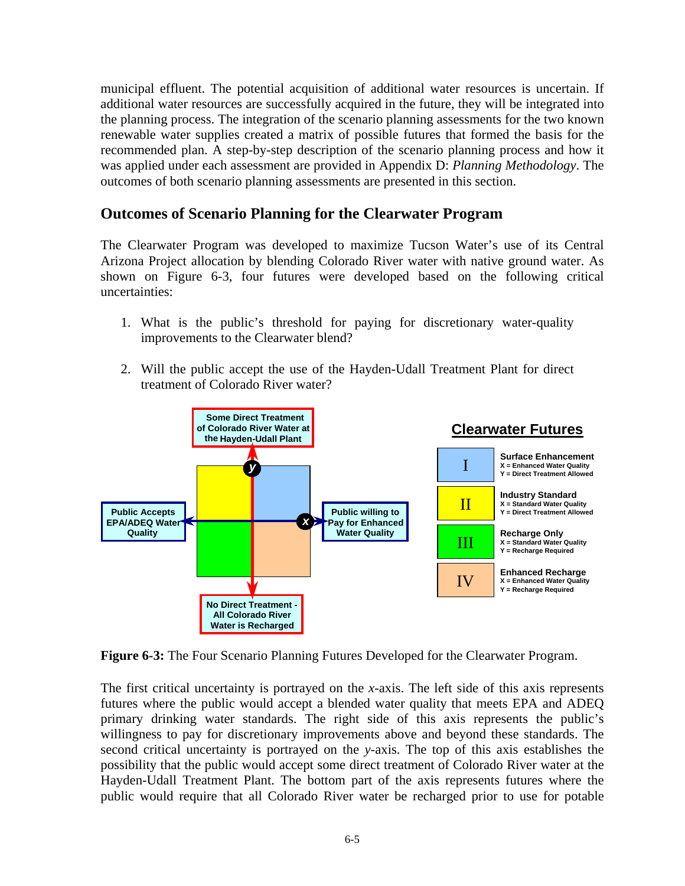municipal effluent. The potential acquisition of additional water resources is uncertain. If additional water resources are successfully acquired in the future, they will be integrated into the planning process. The integration of the scenario planning assessments for the two known renewable water supplies created a matrix of possible futures that formed the basis for the recommended plan. A step-by-step description of the scenario planning process and how it was applied under each assessment are provided in Appendix D: *Planning Methodology*. The outcomes of both scenario planning assessments are presented in this section.

### **Outcomes of Scenario Planning for the Clearwater Program**

The Clearwater Program was developed to maximize Tucson Water's use of its Central Arizona Project allocation by blending Colorado River water with native ground water. As shown on Figure 6-3, four futures were developed based on the following critical uncertainties:

- 1. What is the public's threshold for paying for discretionary water-quality improvements to the Clearwater blend?
- 2. Will the public accept the use of the Hayden-Udall Treatment Plant for direct treatment of Colorado River water?



**Figure 6-3:** The Four Scenario Planning Futures Developed for the Clearwater Program.

The first critical uncertainty is portrayed on the *x*-axis. The left side of this axis represents futures where the public would accept a blended water quality that meets EPA and ADEQ primary drinking water standards. The right side of this axis represents the public's willingness to pay for discretionary improvements above and beyond these standards. The second critical uncertainty is portrayed on the *y*-axis. The top of this axis establishes the possibility that the public would accept some direct treatment of Colorado River water at the Hayden-Udall Treatment Plant. The bottom part of the axis represents futures where the public would require that all Colorado River water be recharged prior to use for potable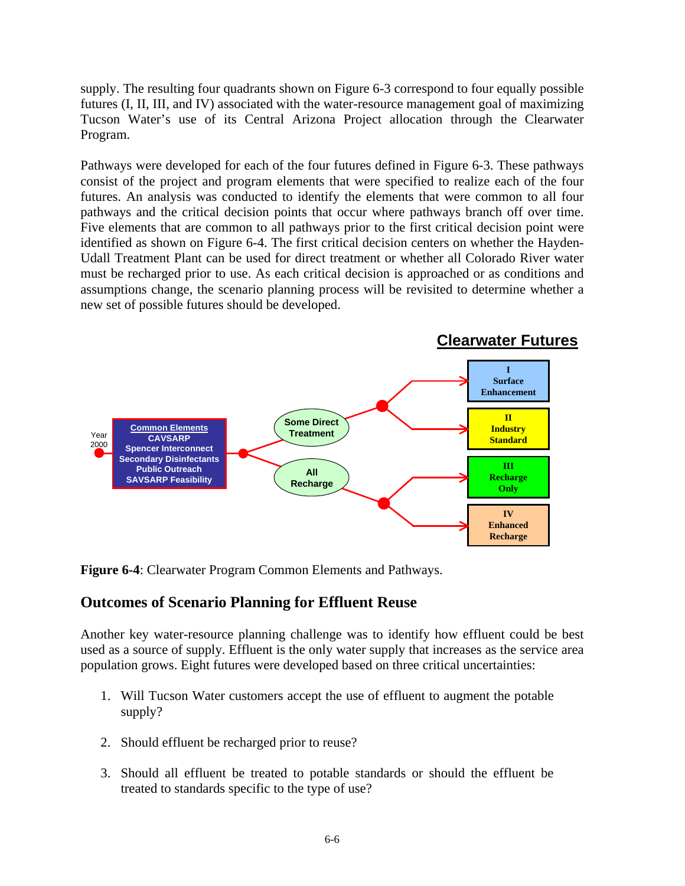supply. The resulting four quadrants shown on Figure 6-3 correspond to four equally possible futures (I, II, III, and IV) associated with the water-resource management goal of maximizing Tucson Water's use of its Central Arizona Project allocation through the Clearwater Program.

Pathways were developed for each of the four futures defined in Figure 6-3. These pathways consist of the project and program elements that were specified to realize each of the four futures. An analysis was conducted to identify the elements that were common to all four pathways and the critical decision points that occur where pathways branch off over time. Five elements that are common to all pathways prior to the first critical decision point were identified as shown on Figure 6-4. The first critical decision centers on whether the Hayden-Udall Treatment Plant can be used for direct treatment or whether all Colorado River water must be recharged prior to use. As each critical decision is approached or as conditions and assumptions change, the scenario planning process will be revisited to determine whether a new set of possible futures should be developed.



**Figure 6-4**: Clearwater Program Common Elements and Pathways.

### **Outcomes of Scenario Planning for Effluent Reuse**

Another key water-resource planning challenge was to identify how effluent could be best used as a source of supply. Effluent is the only water supply that increases as the service area population grows. Eight futures were developed based on three critical uncertainties:

- 1. Will Tucson Water customers accept the use of effluent to augment the potable supply?
- 2. Should effluent be recharged prior to reuse?
- 3. Should all effluent be treated to potable standards or should the effluent be treated to standards specific to the type of use?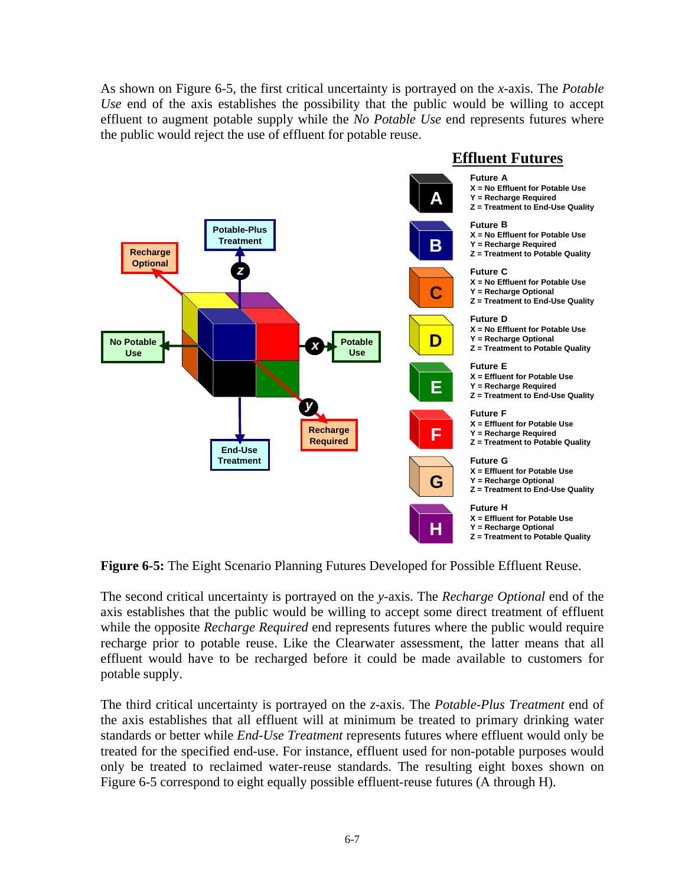As shown on Figure 6-5, the first critical uncertainty is portrayed on the *x*-axis. The *Potable Use* end of the axis establishes the possibility that the public would be willing to accept effluent to augment potable supply while the *No Potable Use* end represents futures where the public would reject the use of effluent for potable reuse.



**Figure 6-5:** The Eight Scenario Planning Futures Developed for Possible Effluent Reuse.

The second critical uncertainty is portrayed on the *y*-axis. The *Recharge Optional* end of the axis establishes that the public would be willing to accept some direct treatment of effluent while the opposite *Recharge Required* end represents futures where the public would require recharge prior to potable reuse. Like the Clearwater assessment, the latter means that all effluent would have to be recharged before it could be made available to customers for potable supply.

The third critical uncertainty is portrayed on the *z*-axis. The *Potable-Plus Treatment* end of the axis establishes that all effluent will at minimum be treated to primary drinking water standards or better while *End-Use Treatment* represents futures where effluent would only be treated for the specified end-use. For instance, effluent used for non-potable purposes would only be treated to reclaimed water-reuse standards. The resulting eight boxes shown on Figure 6-5 correspond to eight equally possible effluent-reuse futures (A through H).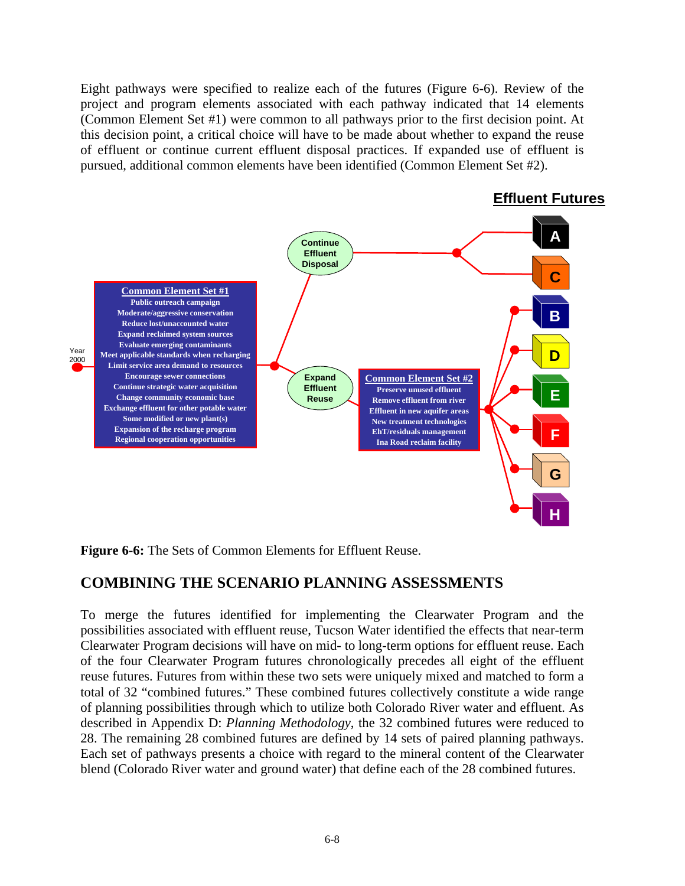Eight pathways were specified to realize each of the futures (Figure 6-6). Review of the project and program elements associated with each pathway indicated that 14 elements (Common Element Set #1) were common to all pathways prior to the first decision point. At this decision point, a critical choice will have to be made about whether to expand the reuse of effluent or continue current effluent disposal practices. If expanded use of effluent is pursued, additional common elements have been identified (Common Element Set #2).



**Figure 6-6:** The Sets of Common Elements for Effluent Reuse.

### **COMBINING THE SCENARIO PLANNING ASSESSMENTS**

To merge the futures identified for implementing the Clearwater Program and the possibilities associated with effluent reuse, Tucson Water identified the effects that near-term Clearwater Program decisions will have on mid- to long-term options for effluent reuse. Each of the four Clearwater Program futures chronologically precedes all eight of the effluent reuse futures. Futures from within these two sets were uniquely mixed and matched to form a total of 32 "combined futures." These combined futures collectively constitute a wide range of planning possibilities through which to utilize both Colorado River water and effluent. As described in Appendix D: *Planning Methodology*, the 32 combined futures were reduced to 28. The remaining 28 combined futures are defined by 14 sets of paired planning pathways. Each set of pathways presents a choice with regard to the mineral content of the Clearwater blend (Colorado River water and ground water) that define each of the 28 combined futures.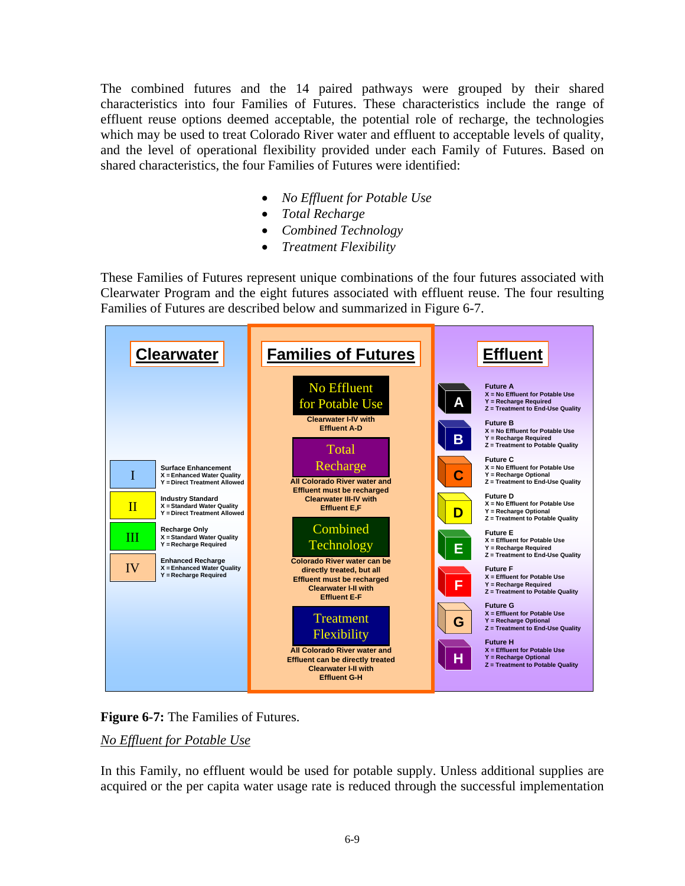The combined futures and the 14 paired pathways were grouped by their shared characteristics into four Families of Futures. These characteristics include the range of effluent reuse options deemed acceptable, the potential role of recharge, the technologies which may be used to treat Colorado River water and effluent to acceptable levels of quality, and the level of operational flexibility provided under each Family of Futures. Based on shared characteristics, the four Families of Futures were identified:

- *No Effluent for Potable Use*
- *Total Recharge*
- *Combined Technology*
- *Treatment Flexibility*

These Families of Futures represent unique combinations of the four futures associated with Clearwater Program and the eight futures associated with effluent reuse. The four resulting Families of Futures are described below and summarized in Figure 6-7.





#### *No Effluent for Potable Use*

In this Family, no effluent would be used for potable supply. Unless additional supplies are acquired or the per capita water usage rate is reduced through the successful implementation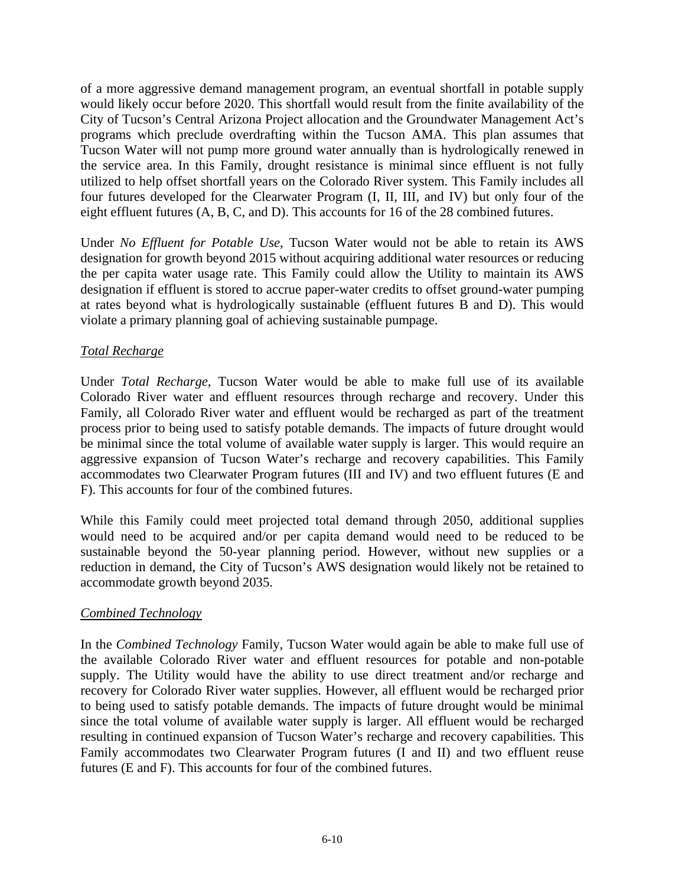of a more aggressive demand management program, an eventual shortfall in potable supply would likely occur before 2020. This shortfall would result from the finite availability of the City of Tucson's Central Arizona Project allocation and the Groundwater Management Act's programs which preclude overdrafting within the Tucson AMA. This plan assumes that Tucson Water will not pump more ground water annually than is hydrologically renewed in the service area. In this Family, drought resistance is minimal since effluent is not fully utilized to help offset shortfall years on the Colorado River system. This Family includes all four futures developed for the Clearwater Program (I, II, III, and IV) but only four of the eight effluent futures (A, B, C, and D). This accounts for 16 of the 28 combined futures.

Under *No Effluent for Potable Use,* Tucson Water would not be able to retain its AWS designation for growth beyond 2015 without acquiring additional water resources or reducing the per capita water usage rate. This Family could allow the Utility to maintain its AWS designation if effluent is stored to accrue paper-water credits to offset ground-water pumping at rates beyond what is hydrologically sustainable (effluent futures B and D). This would violate a primary planning goal of achieving sustainable pumpage.

#### *Total Recharge*

Under *Total Recharge*, Tucson Water would be able to make full use of its available Colorado River water and effluent resources through recharge and recovery. Under this Family, all Colorado River water and effluent would be recharged as part of the treatment process prior to being used to satisfy potable demands. The impacts of future drought would be minimal since the total volume of available water supply is larger. This would require an aggressive expansion of Tucson Water's recharge and recovery capabilities. This Family accommodates two Clearwater Program futures (III and IV) and two effluent futures (E and F). This accounts for four of the combined futures.

While this Family could meet projected total demand through 2050, additional supplies would need to be acquired and/or per capita demand would need to be reduced to be sustainable beyond the 50-year planning period. However, without new supplies or a reduction in demand, the City of Tucson's AWS designation would likely not be retained to accommodate growth beyond 2035.

#### *Combined Technology*

In the *Combined Technology* Family, Tucson Water would again be able to make full use of the available Colorado River water and effluent resources for potable and non-potable supply. The Utility would have the ability to use direct treatment and/or recharge and recovery for Colorado River water supplies. However, all effluent would be recharged prior to being used to satisfy potable demands. The impacts of future drought would be minimal since the total volume of available water supply is larger. All effluent would be recharged resulting in continued expansion of Tucson Water's recharge and recovery capabilities. This Family accommodates two Clearwater Program futures (I and II) and two effluent reuse futures (E and F). This accounts for four of the combined futures.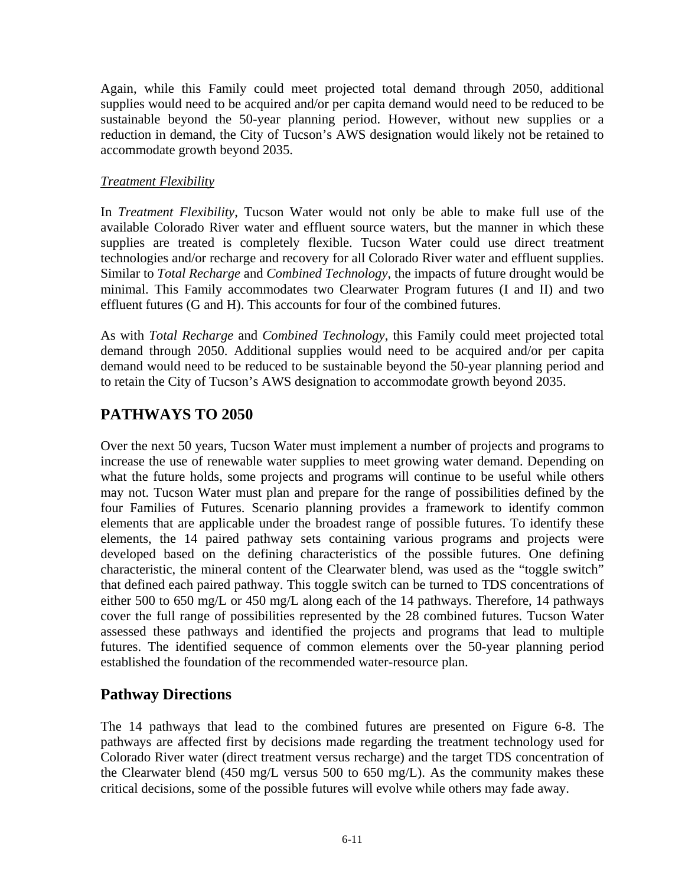Again, while this Family could meet projected total demand through 2050, additional supplies would need to be acquired and/or per capita demand would need to be reduced to be sustainable beyond the 50-year planning period. However, without new supplies or a reduction in demand, the City of Tucson's AWS designation would likely not be retained to accommodate growth beyond 2035.

#### *Treatment Flexibility*

In *Treatment Flexibility*, Tucson Water would not only be able to make full use of the available Colorado River water and effluent source waters, but the manner in which these supplies are treated is completely flexible. Tucson Water could use direct treatment technologies and/or recharge and recovery for all Colorado River water and effluent supplies. Similar to *Total Recharge* and *Combined Technology*, the impacts of future drought would be minimal. This Family accommodates two Clearwater Program futures (I and II) and two effluent futures (G and H). This accounts for four of the combined futures.

As with *Total Recharge* and *Combined Technology*, this Family could meet projected total demand through 2050. Additional supplies would need to be acquired and/or per capita demand would need to be reduced to be sustainable beyond the 50-year planning period and to retain the City of Tucson's AWS designation to accommodate growth beyond 2035.

## **PATHWAYS TO 2050**

Over the next 50 years, Tucson Water must implement a number of projects and programs to increase the use of renewable water supplies to meet growing water demand. Depending on what the future holds, some projects and programs will continue to be useful while others may not. Tucson Water must plan and prepare for the range of possibilities defined by the four Families of Futures. Scenario planning provides a framework to identify common elements that are applicable under the broadest range of possible futures. To identify these elements, the 14 paired pathway sets containing various programs and projects were developed based on the defining characteristics of the possible futures. One defining characteristic, the mineral content of the Clearwater blend, was used as the "toggle switch" that defined each paired pathway. This toggle switch can be turned to TDS concentrations of either 500 to 650 mg/L or 450 mg/L along each of the 14 pathways. Therefore, 14 pathways cover the full range of possibilities represented by the 28 combined futures. Tucson Water assessed these pathways and identified the projects and programs that lead to multiple futures. The identified sequence of common elements over the 50-year planning period established the foundation of the recommended water-resource plan.

## **Pathway Directions**

The 14 pathways that lead to the combined futures are presented on Figure 6-8. The pathways are affected first by decisions made regarding the treatment technology used for Colorado River water (direct treatment versus recharge) and the target TDS concentration of the Clearwater blend (450 mg/L versus 500 to 650 mg/L). As the community makes these critical decisions, some of the possible futures will evolve while others may fade away.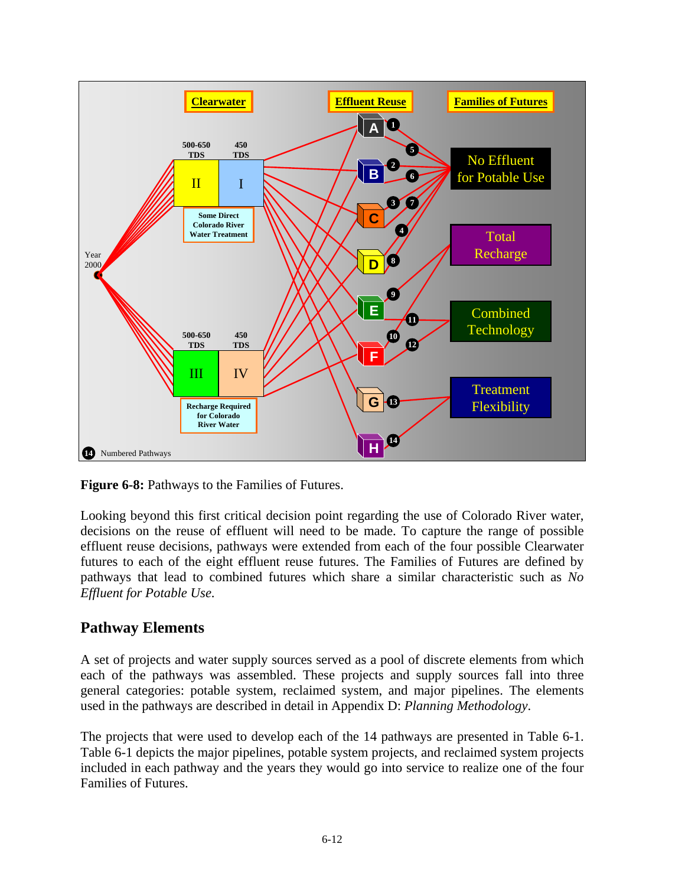

**Figure 6-8:** Pathways to the Families of Futures.

Looking beyond this first critical decision point regarding the use of Colorado River water, decisions on the reuse of effluent will need to be made. To capture the range of possible effluent reuse decisions, pathways were extended from each of the four possible Clearwater futures to each of the eight effluent reuse futures. The Families of Futures are defined by pathways that lead to combined futures which share a similar characteristic such as *No Effluent for Potable Use*.

### **Pathway Elements**

A set of projects and water supply sources served as a pool of discrete elements from which each of the pathways was assembled. These projects and supply sources fall into three general categories: potable system, reclaimed system, and major pipelines. The elements used in the pathways are described in detail in Appendix D: *Planning Methodology*.

The projects that were used to develop each of the 14 pathways are presented in Table 6-1. Table 6-1 depicts the major pipelines, potable system projects, and reclaimed system projects included in each pathway and the years they would go into service to realize one of the four Families of Futures.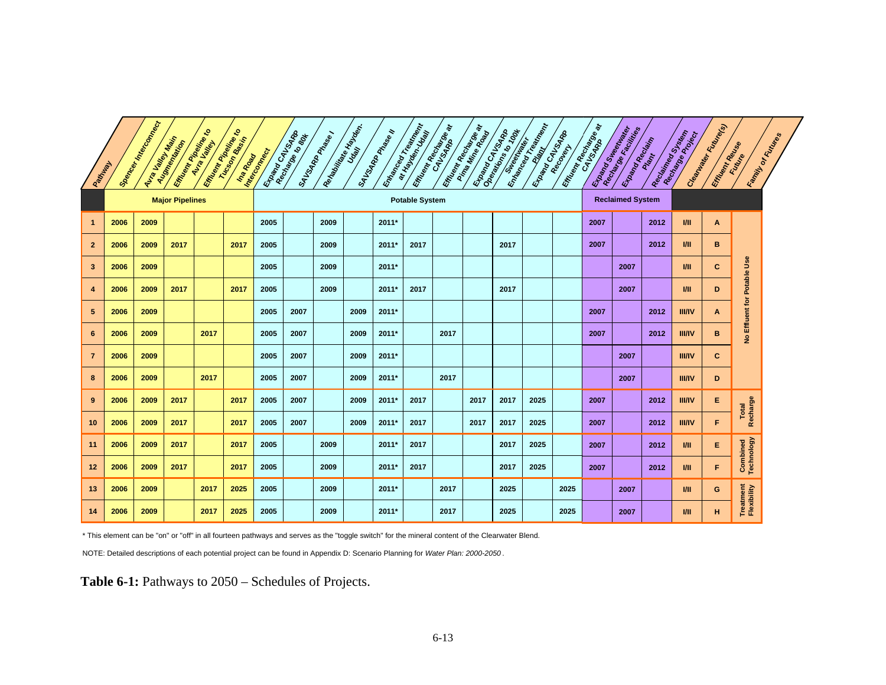|                | Pattyand | <b>Spance In Track Coconnect</b> | <b>Avia Valley Maximal</b> | <b>Empression</b> | <b>Kingdom Bandary Road</b><br>Interpretation |                       | Exampled Vs ARR | SAVSARPANASI | Redation of the Handle Process | <b>SAVSARD</b> PRISER N | Entranced Treatman | <b>Em<sub>on Recharged</sub></b> | <b>Empression Residence</b> | <b>Example Cat Island</b><br><b>CAR REAL PROPERTY</b> | <b>Enlarged Trade Riversidence</b> | Enanco Capitalis        | <b>Entrance CALGORATION</b> | <b>Example Strategy</b> | Enama received | Reciprocación de Castrom | Cleant delivery delivery of<br>Effuegy Republica |                             | Family of Fourthlips |
|----------------|----------|----------------------------------|----------------------------|-------------------|-----------------------------------------------|-----------------------|-----------------|--------------|--------------------------------|-------------------------|--------------------|----------------------------------|-----------------------------|-------------------------------------------------------|------------------------------------|-------------------------|-----------------------------|-------------------------|----------------|--------------------------|--------------------------------------------------|-----------------------------|----------------------|
|                |          |                                  | <b>Major Pipelines</b>     |                   |                                               | <b>Potable System</b> |                 |              |                                |                         |                    |                                  |                             |                                                       |                                    | <b>Reclaimed System</b> |                             |                         |                |                          |                                                  |                             |                      |
| -1             | 2006     | 2009                             |                            |                   |                                               | 2005                  |                 | 2009         |                                | 2011*                   |                    |                                  |                             |                                                       |                                    |                         | 2007                        |                         | 2012           | V <sub>II</sub>          | A                                                |                             |                      |
| $\mathbf{2}$   | 2006     | 2009                             | 2017                       |                   | 2017                                          | 2005                  |                 | 2009         |                                | 2011*                   | 2017               |                                  |                             | 2017                                                  |                                    |                         | 2007                        |                         | 2012           | <b>VII</b>               | В                                                |                             |                      |
| 3              | 2006     | 2009                             |                            |                   |                                               | 2005                  |                 | 2009         |                                | 2011*                   |                    |                                  |                             |                                                       |                                    |                         |                             | 2007                    |                | ИI                       | c                                                |                             |                      |
| 4              | 2006     | 2009                             | 2017                       |                   | 2017                                          | 2005                  |                 | 2009         |                                | 2011*                   | 2017               |                                  |                             | 2017                                                  |                                    |                         |                             | 2007                    |                | V <sub>II</sub>          | D                                                |                             |                      |
| 5              | 2006     | 2009                             |                            |                   |                                               | 2005                  | 2007            |              | 2009                           | 2011*                   |                    |                                  |                             |                                                       |                                    |                         | 2007                        |                         | 2012           | <b>III/IV</b>            | A                                                |                             |                      |
| 6              | 2006     | 2009                             |                            | 2017              |                                               | 2005                  | 2007            |              | 2009                           | 2011*                   |                    | 2017                             |                             |                                                       |                                    |                         | 2007                        |                         | 2012           | <b>III/IV</b>            | в                                                | No Effluent for Potable Use |                      |
| $\overline{7}$ | 2006     | 2009                             |                            |                   |                                               | 2005                  | 2007            |              | 2009                           | 2011*                   |                    |                                  |                             |                                                       |                                    |                         |                             | 2007                    |                | <b>III/IV</b>            | c                                                |                             |                      |
| 8              | 2006     | 2009                             |                            | 2017              |                                               | 2005                  | 2007            |              | 2009                           | 2011*                   |                    | 2017                             |                             |                                                       |                                    |                         |                             | 2007                    |                | <b>III/IV</b>            | D                                                |                             |                      |
| 9              | 2006     | 2009                             | 2017                       |                   | 2017                                          | 2005                  | 2007            |              | 2009                           | 2011*                   | 2017               |                                  | 2017                        | 2017                                                  | 2025                               |                         | 2007                        |                         | 2012           | <b>III/IV</b>            | E.                                               |                             |                      |
| 10             | 2006     | 2009                             | 2017                       |                   | 2017                                          | 2005                  | 2007            |              | 2009                           | 2011*                   | 2017               |                                  | 2017                        | 2017                                                  | 2025                               |                         | 2007                        |                         | 2012           | <b>III/IV</b>            | F.                                               | Recharge<br>Total           |                      |
| 11             | 2006     | 2009                             | 2017                       |                   | 2017                                          | 2005                  |                 | 2009         |                                | 2011*                   | 2017               |                                  |                             | 2017                                                  | 2025                               |                         | 2007                        |                         | 2012           | <b>VII</b>               | E.                                               |                             |                      |
| 12             | 2006     | 2009                             | 2017                       |                   | 2017                                          | 2005                  |                 | 2009         |                                | 2011*                   | 2017               |                                  |                             | 2017                                                  | 2025                               |                         | 2007                        |                         | 2012           | <b>VII</b>               | F.                                               | Combined<br>Technology      |                      |
| 13             | 2006     | 2009                             |                            | 2017              | 2025                                          | 2005                  |                 | 2009         |                                | 2011*                   |                    | 2017                             |                             | 2025                                                  |                                    | 2025                    |                             | 2007                    |                | WШ                       | G                                                |                             |                      |
| 14             | 2006     | 2009                             |                            | 2017              | 2025                                          | 2005                  |                 | 2009         |                                | 2011*                   |                    | 2017                             |                             | 2025                                                  |                                    | 2025                    |                             | 2007                    |                | WШ                       | н                                                | Treatment<br>Flexibility    |                      |

\* This element can be "on" or "off" in all fourteen pathways and serves as the "toggle switch" for the mineral content of the Clearwater Blend.

NOTE: Detailed descriptions of each potential project can be found in Appendix D: Scenario Planning for *Water Plan: 2000-2050* .

**Table 6-1:** Pathways to 2050 – Schedules of Projects.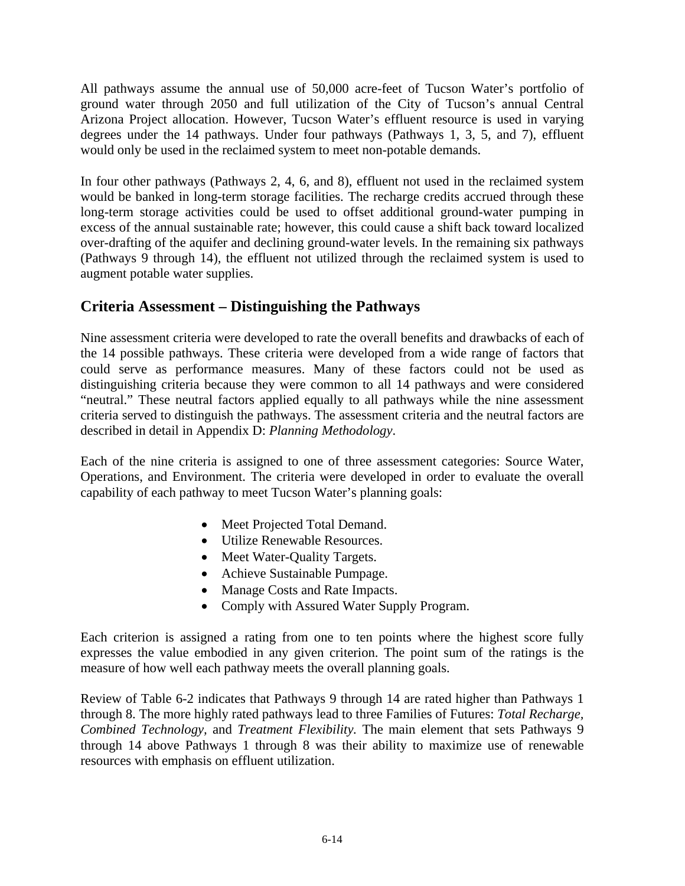All pathways assume the annual use of 50,000 acre-feet of Tucson Water's portfolio of ground water through 2050 and full utilization of the City of Tucson's annual Central Arizona Project allocation. However, Tucson Water's effluent resource is used in varying degrees under the 14 pathways. Under four pathways (Pathways 1, 3, 5, and 7), effluent would only be used in the reclaimed system to meet non-potable demands.

In four other pathways (Pathways 2, 4, 6, and 8), effluent not used in the reclaimed system would be banked in long-term storage facilities. The recharge credits accrued through these long-term storage activities could be used to offset additional ground-water pumping in excess of the annual sustainable rate; however, this could cause a shift back toward localized over-drafting of the aquifer and declining ground-water levels. In the remaining six pathways (Pathways 9 through 14), the effluent not utilized through the reclaimed system is used to augment potable water supplies.

### **Criteria Assessment – Distinguishing the Pathways**

Nine assessment criteria were developed to rate the overall benefits and drawbacks of each of the 14 possible pathways. These criteria were developed from a wide range of factors that could serve as performance measures. Many of these factors could not be used as distinguishing criteria because they were common to all 14 pathways and were considered "neutral." These neutral factors applied equally to all pathways while the nine assessment criteria served to distinguish the pathways. The assessment criteria and the neutral factors are described in detail in Appendix D: *Planning Methodology*.

Each of the nine criteria is assigned to one of three assessment categories: Source Water, Operations, and Environment. The criteria were developed in order to evaluate the overall capability of each pathway to meet Tucson Water's planning goals:

- Meet Projected Total Demand.
- Utilize Renewable Resources.
- Meet Water-Quality Targets.
- Achieve Sustainable Pumpage.
- Manage Costs and Rate Impacts.
- Comply with Assured Water Supply Program.

Each criterion is assigned a rating from one to ten points where the highest score fully expresses the value embodied in any given criterion. The point sum of the ratings is the measure of how well each pathway meets the overall planning goals.

Review of Table 6-2 indicates that Pathways 9 through 14 are rated higher than Pathways 1 through 8. The more highly rated pathways lead to three Families of Futures: *Total Recharge, Combined Technology,* and *Treatment Flexibility.* The main element that sets Pathways 9 through 14 above Pathways 1 through 8 was their ability to maximize use of renewable resources with emphasis on effluent utilization.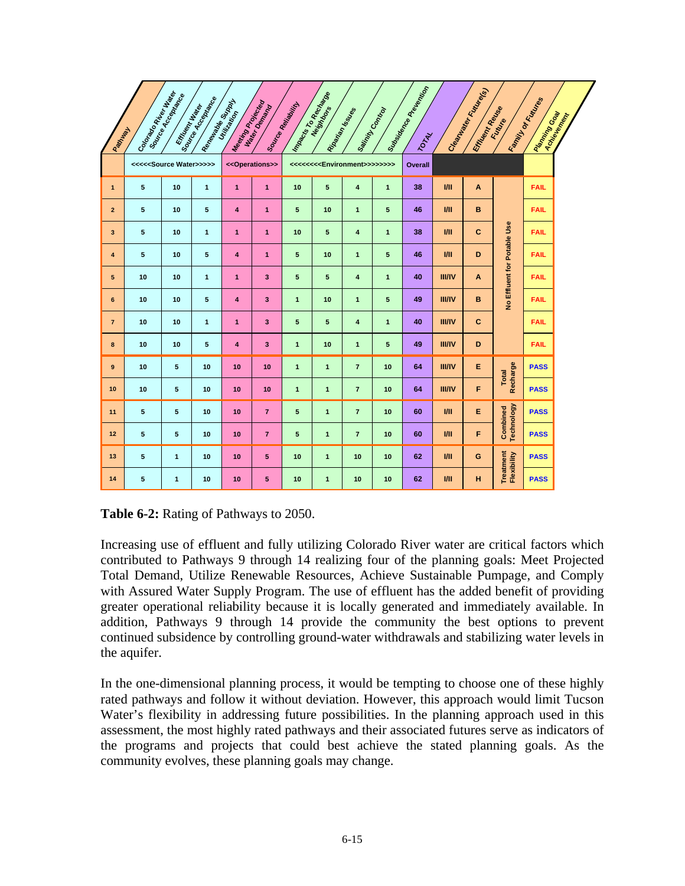|                         |                             | Cooked Accepted Mag<br>Effice on the data | Isound Read Read<br>Rendered Burgel | Ma <sub>sonid</sub> Book<br>Utilitia eta | Water Demand                    | Impactor Co Recitores<br><b>Source Reliability</b> | Neistrages     |                                                                                |                | <b>Subsidion Replacement of Printing Division</b> |                 | Clean <sub>th Rick</sub> Clean |                               | Family of Ecclesia |             |
|-------------------------|-----------------------------|-------------------------------------------|-------------------------------------|------------------------------------------|---------------------------------|----------------------------------------------------|----------------|--------------------------------------------------------------------------------|----------------|---------------------------------------------------|-----------------|--------------------------------|-------------------------------|--------------------|-------------|
| Pattyway                |                             |                                           |                                     |                                          |                                 |                                                    |                | Ribarian Mssteps                                                               | Sainty Control | <b>TOTAL</b>                                      |                 | Effice of Read Read            | Europe                        | Raming Goal        | Achievement |
|                         | <<< <source water=""/> >>>> |                                           |                                     |                                          | < <operations>&gt;</operations> |                                                    |                | <<<<<< <environment>&gt;&gt;&gt;&gt;&gt;&gt;&gt;&gt;&gt;&gt;&gt;</environment> |                | Overall                                           |                 |                                |                               |                    |             |
| $\mathbf{1}$            | 5                           | 10                                        | $\mathbf{1}$                        | $\overline{1}$                           | $\overline{1}$                  | 10                                                 | 5              | 4                                                                              | $\mathbf{1}$   | 38                                                | III             | A                              |                               | <b>FAIL</b>        |             |
| $\overline{2}$          | 5                           | 10                                        | 5                                   | $\overline{4}$                           | $\overline{1}$                  | 5                                                  | 10             | $\mathbf{1}$                                                                   | 5              | 46                                                | III             | B                              |                               | <b>FAIL</b>        |             |
| $\overline{\mathbf{3}}$ | 5                           | 10                                        | $\mathbf{1}$                        | $\overline{1}$                           | $\mathbf{1}$                    | 10                                                 | 5              | $\overline{\mathbf{4}}$                                                        | $\mathbf{1}$   | 38                                                | III             | $\mathbf{C}$                   |                               | <b>FAIL</b>        |             |
| $\overline{\mathbf{4}}$ | 5                           | 10                                        | 5                                   | 4                                        | $\mathbf{1}$                    | 5                                                  | 10             | $\mathbf{1}$                                                                   | 5              | 46                                                | V <sub>II</sub> | D                              | No Effluent for Potable Use   | <b>FAIL</b>        |             |
| $\sqrt{5}$              | 10                          | 10                                        | $\mathbf{1}$                        | $\mathbf{1}$                             | 3                               | 5                                                  | 5              | 4                                                                              | $\mathbf{1}$   | 40                                                | <b>III/IV</b>   | A                              |                               | <b>FAIL</b>        |             |
| 6                       | 10                          | 10                                        | 5                                   | $\overline{\mathbf{4}}$                  | 3                               | $\mathbf{1}$                                       | 10             | $\mathbf{1}$                                                                   | 5              | 49                                                | <b>III/IV</b>   | в                              |                               | <b>FAIL</b>        |             |
| $\overline{7}$          | 10                          | 10                                        | $\overline{1}$                      | $\mathbf{1}$                             | $\overline{\mathbf{3}}$         | 5                                                  | 5              | $\overline{4}$                                                                 | $\mathbf{1}$   | 40                                                | <b>III/IV</b>   | $\mathbf{C}$                   |                               | <b>FAIL</b>        |             |
| 8                       | 10                          | 10                                        | 5                                   | 4                                        | 3                               | $\mathbf{1}$                                       | 10             | $\mathbf{1}$                                                                   | 5              | 49                                                | <b>III/IV</b>   | D                              |                               | <b>FAIL</b>        |             |
| 9                       | 10                          | 5                                         | 10                                  | 10                                       | 10                              | $\mathbf{1}$                                       | $\mathbf{1}$   | $\overline{7}$                                                                 | 10             | 64                                                | <b>III/IV</b>   | E                              | Recharge<br><b>Total</b>      | <b>PASS</b>        |             |
| 10                      | 10                          | 5                                         | 10                                  | 10                                       | 10                              | $\mathbf{1}$                                       | $\mathbf{1}$   | $\overline{7}$                                                                 | 10             | 64                                                | <b>III/IV</b>   | F                              |                               | <b>PASS</b>        |             |
| 11                      | 5                           | 5                                         | 10                                  | 10                                       | $\overline{7}$                  | 5                                                  | $\overline{1}$ | $\overline{7}$                                                                 | 10             | 60                                                | V <sub>II</sub> | E                              | <b>Technology</b><br>Combined | <b>PASS</b>        |             |
| 12                      | 5                           | 5                                         | 10                                  | 10                                       | $\overline{7}$                  | 5                                                  | $\mathbf{1}$   | $\overline{7}$                                                                 | 10             | 60                                                | V <sub>II</sub> | F                              |                               | <b>PASS</b>        |             |
| 13                      | 5                           | $\mathbf{1}$                              | 10                                  | 10                                       | 5                               | 10                                                 | $\mathbf{1}$   | 10                                                                             | 10             | 62                                                | $1$             | G                              | Treatment<br>Flexibility      | <b>PASS</b>        |             |
| 14                      | 5                           | $\mathbf{1}$                              | 10                                  | 10                                       | 5                               | 10                                                 | $\mathbf{1}$   | 10                                                                             | 10             | 62                                                | III             | н                              |                               | <b>PASS</b>        |             |

| Table 6-2: Rating of Pathways to 2050. |  |  |
|----------------------------------------|--|--|
|----------------------------------------|--|--|

Increasing use of effluent and fully utilizing Colorado River water are critical factors which contributed to Pathways 9 through 14 realizing four of the planning goals: Meet Projected Total Demand, Utilize Renewable Resources, Achieve Sustainable Pumpage, and Comply with Assured Water Supply Program. The use of effluent has the added benefit of providing greater operational reliability because it is locally generated and immediately available. In addition, Pathways 9 through 14 provide the community the best options to prevent continued subsidence by controlling ground-water withdrawals and stabilizing water levels in the aquifer.

In the one-dimensional planning process, it would be tempting to choose one of these highly rated pathways and follow it without deviation. However, this approach would limit Tucson Water's flexibility in addressing future possibilities. In the planning approach used in this assessment, the most highly rated pathways and their associated futures serve as indicators of the programs and projects that could best achieve the stated planning goals. As the community evolves, these planning goals may change.